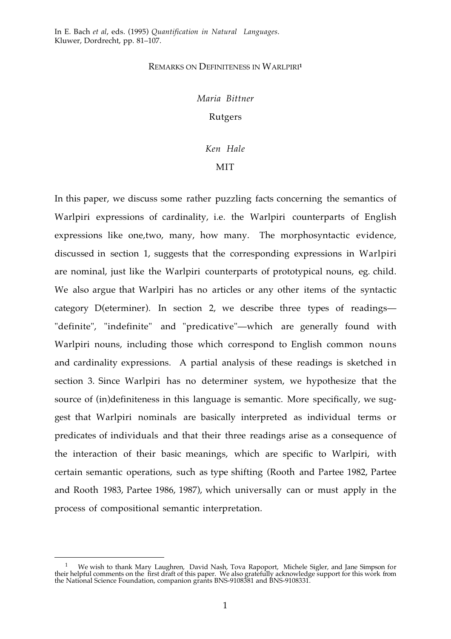#### REMARKS ON DEFINITENESS IN WARLPIRI**<sup>1</sup>**

# *Maria Bittner*

Rutgers

# *Ken Hale*

# MIT

In this paper, we discuss some rather puzzling facts concerning the semantics of Warlpiri expressions of cardinality, i.e. the Warlpiri counterparts of English expressions like one,two, many, how many. The morphosyntactic evidence, discussed in section 1, suggests that the corresponding expressions in Warlpiri are nominal, just like the Warlpiri counterparts of prototypical nouns, eg. child. We also argue that Warlpiri has no articles or any other items of the syntactic category D(eterminer). In section 2, we describe three types of readings— "definite", "indefinite" and "predicative"—which are generally found with Warlpiri nouns, including those which correspond to English common nouns and cardinality expressions. A partial analysis of these readings is sketched in section 3. Since Warlpiri has no determiner system, we hypothesize that the source of (in)definiteness in this language is semantic. More specifically, we suggest that Warlpiri nominals are basically interpreted as individual terms or predicates of individuals and that their three readings arise as a consequence of the interaction of their basic meanings, which are specific to Warlpiri, with certain semantic operations, such as type shifting (Rooth and Partee 1982, Partee and Rooth 1983, Partee 1986, 1987), which universally can or must apply in the process of compositional semantic interpretation.

 <sup>1</sup> We wish to thank Mary Laughren, David Nash, Tova Rapoport, Michele Sigler, and Jane Simpson for their helpful comments on the first draft of this paper. We also gratefully acknowledge support for this work from the National Science Foundation, companion grants BNS-9108381 and BNS-9108331.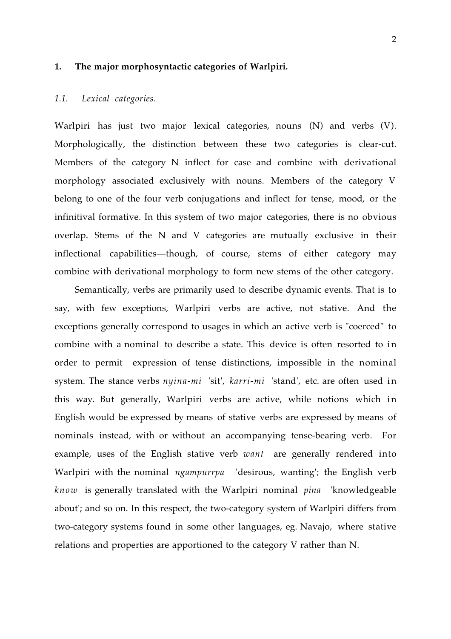#### **1. The major morphosyntactic categories of Warlpiri.**

#### *1.1. Lexical categories.*

Warlpiri has just two major lexical categories, nouns (N) and verbs (V). Morphologically, the distinction between these two categories is clear-cut. Members of the category N inflect for case and combine with derivational morphology associated exclusively with nouns. Members of the category V belong to one of the four verb conjugations and inflect for tense, mood, or the infinitival formative. In this system of two major categories, there is no obvious overlap. Stems of the N and V categories are mutually exclusive in their inflectional capabilities—though, of course, stems of either category may combine with derivational morphology to form new stems of the other category.

Semantically, verbs are primarily used to describe dynamic events. That is to say, with few exceptions, Warlpiri verbs are active, not stative. And the exceptions generally correspond to usages in which an active verb is "coerced" to combine with a nominal to describe a state. This device is often resorted to in order to permit expression of tense distinctions, impossible in the nominal system. The stance verbs *nyina-mi* 'sit', *karri-mi* 'stand', etc. are often used in this way. But generally, Warlpiri verbs are active, while notions which in English would be expressed by means of stative verbs are expressed by means of nominals instead, with or without an accompanying tense-bearing verb. For example, uses of the English stative verb *want* are generally rendered into Warlpiri with the nominal *ngampurrpa* 'desirous, wanting'; the English verb *know* is generally translated with the Warlpiri nominal *pina* 'knowledgeable about'; and so on. In this respect, the two-category system of Warlpiri differs from two-category systems found in some other languages, eg. Navajo, where stative relations and properties are apportioned to the category V rather than N.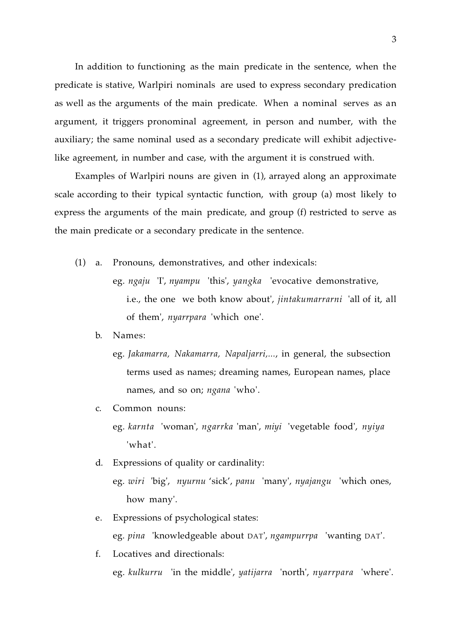In addition to functioning as the main predicate in the sentence, when the predicate is stative, Warlpiri nominals are used to express secondary predication as well as the arguments of the main predicate. When a nominal serves as an argument, it triggers pronominal agreement, in person and number, with the auxiliary; the same nominal used as a secondary predicate will exhibit adjectivelike agreement, in number and case, with the argument it is construed with.

Examples of Warlpiri nouns are given in (1), arrayed along an approximate scale according to their typical syntactic function, with group (a) most likely to express the arguments of the main predicate, and group (f) restricted to serve as the main predicate or a secondary predicate in the sentence.

(1) a. Pronouns, demonstratives, and other indexicals:

eg. *ngaju* 'I', *nyampu* 'this', *yangka* 'evocative demonstrative, i.e., the one we both know about', *jintakumarrarni* 'all of it, all of them', *nyarrpara* 'which one'.

- b. Names:
	- eg. *Jakamarra, Nakamarra, Napaljarri,...*, in general, the subsection terms used as names; dreaming names, European names, place names, and so on; *ngana* 'who'.
- c. Common nouns:

eg. *karnta* 'woman', *ngarrka* 'man', *miyi* 'vegetable food', *nyiya* 'what'.

d. Expressions of quality or cardinality:

eg. *wiri* 'big', *nyurnu* 'sick', *panu* 'many', *nyajangu* 'which ones, how many'.

- e. Expressions of psychological states: eg. *pina* 'knowledgeable about DAT', *ngampurrpa* 'wanting DAT'.
- f. Locatives and directionals: eg. *kulkurru* 'in the middle', *yatijarra* 'north', *nyarrpara* 'where'.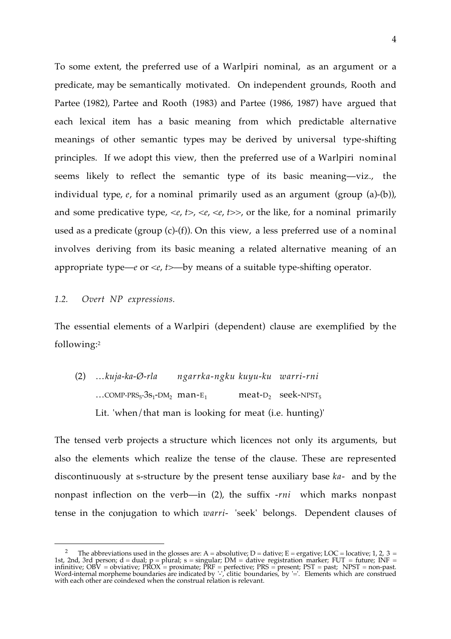To some extent, the preferred use of a Warlpiri nominal, as an argument or a predicate, may be semantically motivated. On independent grounds, Rooth and Partee (1982), Partee and Rooth (1983) and Partee (1986, 1987) have argued that each lexical item has a basic meaning from which predictable alternative meanings of other semantic types may be derived by universal type-shifting principles. If we adopt this view, then the preferred use of a Warlpiri nominal seems likely to reflect the semantic type of its basic meaning—viz., the individual type, *e*, for a nominal primarily used as an argument (group (a)-(b)), and some predicative type,  $\langle e, t \rangle$ ,  $\langle e, \langle e, t \rangle$ , or the like, for a nominal primarily used as a predicate (group  $(c)-(f)$ ). On this view, a less preferred use of a nominal involves deriving from its basic meaning a related alternative meaning of an appropriate type—*e* or <*e*, *t*>—by means of a suitable type-shifting operator.

# *1.2. Overt NP expressions.*

The essential elements of a Warlpiri (dependent) clause are exemplified by the following:2

(2) …*kuja-ka-Ø-rla ngarrka-ngku kuyu-ku warri-rni* ...COMP-PRS<sub>5</sub>-3s<sub>1</sub>-DM<sub>2</sub> man-E<sub>1</sub> meat-D<sub>2</sub> seek-NPST<sub>5</sub> Lit. 'when/that man is looking for meat (i.e. hunting)'

The tensed verb projects a structure which licences not only its arguments, but also the elements which realize the tense of the clause. These are represented discontinuously at s-structure by the present tense auxiliary base *ka-* and by the nonpast inflection on the verb—in (2), the suffix *-rni* which marks nonpast tense in the conjugation to which *warri-* 'seek' belongs. Dependent clauses of

<sup>2</sup> The abbreviations used in the glosses are: A = absolutive; D = dative; E = ergative; LOC = locative; 1, 2, 3 = 1st, 2nd, 3rd person; d = dual; p = plural; s = singular; DM = dative registration marker; FUT = future; INF = infinitive; OBV = obviative; PROX = proximate; PRF = perfective; PRS = present; PST = past; NPST = non-past. Word-internal morpheme boundaries are indicated by '-', clitic boundaries, by '='. Elements which are construed with each other are coindexed when the construal relation is relevant.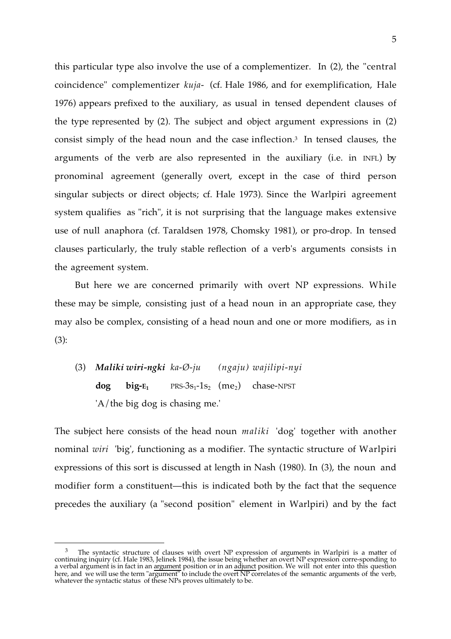this particular type also involve the use of a complementizer. In (2), the "central coincidence" complementizer *kuja-* (cf. Hale 1986, and for exemplification, Hale 1976) appears prefixed to the auxiliary, as usual in tensed dependent clauses of the type represented by (2). The subject and object argument expressions in (2) consist simply of the head noun and the case inflection.3 In tensed clauses, the arguments of the verb are also represented in the auxiliary (i.e. in INFL) by pronominal agreement (generally overt, except in the case of third person singular subjects or direct objects; cf. Hale 1973). Since the Warlpiri agreement system qualifies as "rich", it is not surprising that the language makes extensive use of null anaphora (cf. Taraldsen 1978, Chomsky 1981), or pro-drop. In tensed clauses particularly, the truly stable reflection of a verb's arguments consists in the agreement system.

But here we are concerned primarily with overt NP expressions. While these may be simple, consisting just of a head noun in an appropriate case, they may also be complex, consisting of a head noun and one or more modifiers, as in  $(3):$ 

(3) *Maliki wiri-ngki ka-Ø-ju (ngaju) wajilipi-nyi*  $\log$  **big-E<sub>1</sub>** PRS-3s<sub>1</sub>-1s<sub>2</sub> (me<sub>2</sub>) chase-NPST 'A/the big dog is chasing me.'

The subject here consists of the head noun *maliki* 'dog' together with another nominal *wiri* 'big', functioning as a modifier. The syntactic structure of Warlpiri expressions of this sort is discussed at length in Nash (1980). In (3), the noun and modifier form a constituent—this is indicated both by the fact that the sequence precedes the auxiliary (a "second position" element in Warlpiri) and by the fact

<sup>&</sup>lt;sup>3</sup> The syntactic structure of clauses with overt NP expression of arguments in Warlpiri is a matter of continuing inquiry (cf. Hale 1983, Jelinek 1984), the issue being whether an overt NP expression corre-sponding to a verbal argument is in fact in an argument position or in an <u>adjunct</u> position. We will not enter into this question here, and we will use the term "argument" to include the overt NP correlates of the semantic arguments of the verb, whatever the syntactic status of these NPs proves ultimately to be.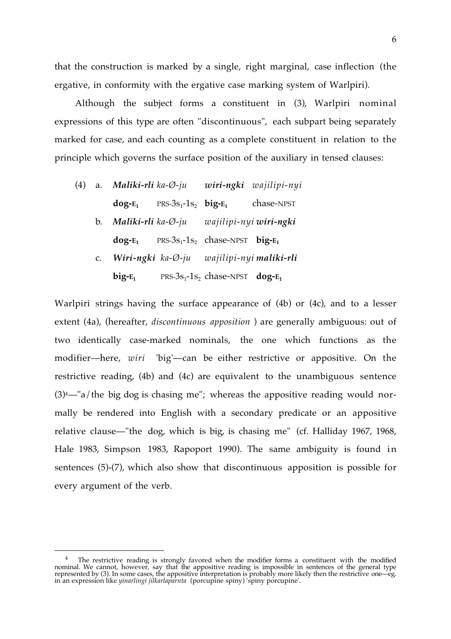that the construction is marked by a single, right marginal, case inflection (the ergative, in conformity with the ergative case marking system of Warlpiri).

Although the subject forms a constituent in (3), Warlpiri nominal expressions of this type are often "discontinuous", each subpart being separately marked for case, and each counting as a complete constituent in relation to the principle which governs the surface position of the auxiliary in tensed clauses:

- (4) a. *Maliki-rli ka-Ø-ju wiri-ngki wajilipi-nyi*  $\bf{dog}\text{-}E_1$  PRS- $\rm{3s_1\text{-}1s_2}$   $\bf{big}\text{-}E_1$  chase-NPST b. *Maliki-rli ka-Ø-ju wajilipi-nyi wiri-ngki*  $\text{dog-}E_1$  PRS- $3s_1$ -1s<sub>2</sub> chase-NPST  $\text{big-E}_1$ 
	- c. *Wiri-ngki ka-Ø-ju wajilipi-nyi maliki-rli*  $big-E_1$  PRS-3s<sub>1</sub>-1s<sub>2</sub> chase-NPST **dog-E<sub>1</sub>**

Warlpiri strings having the surface appearance of (4b) or (4c), and to a lesser extent (4a), (hereafter, *discontinuous apposition* ) are generally ambiguous: out of two identically case-marked nominals, the one which functions as the modifier—here, *wiri* 'big'—can be either restrictive or appositive. On the restrictive reading, (4b) and (4c) are equivalent to the unambiguous sentence  $(3)^4$ —"a/the big dog is chasing me"; whereas the appositive reading would normally be rendered into English with a secondary predicate or an appositive relative clause—"the dog, which is big, is chasing me" (cf. Halliday 1967, 1968, Hale 1983, Simpson 1983, Rapoport 1990). The same ambiguity is found in sentences (5)-(7), which also show that discontinuous apposition is possible for every argument of the verb.

The restrictive reading is strongly favored when the modifier forms a constituent with the modified nominal. We cannot, however, say that the appositive reading is impossible in sentences of the general type represented by (3). In some cases, the appositive interpretation is probably more likely then the restrictive one—eg. in an expression like *yinarlingi jilkarlaparnta* (porcupine spiny) 'spiny porcupine'.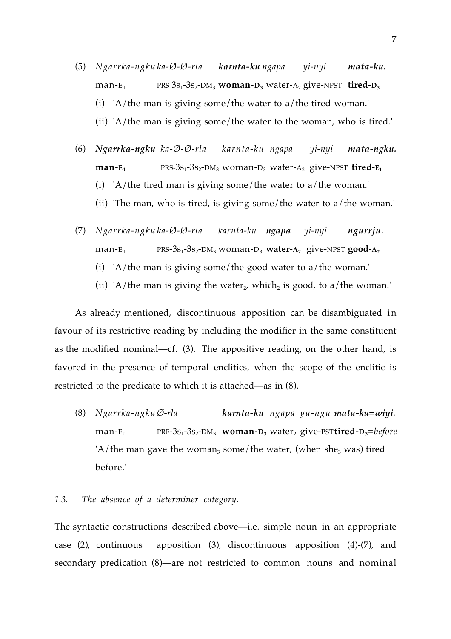- (5) *Ngarrka-ngku ka-Ø-Ø-rla karnta-ku ngapa yi-nyi mata-ku.*  $\text{max-}E_1$  PRS-3s<sub>1</sub>-3s<sub>2</sub>-DM<sub>3</sub> **woman-D<sub>3</sub>** water-A<sub>2</sub> give-NPST **tired-D<sub>3</sub>** (i) 'A/the man is giving some/the water to a/the tired woman.' (ii) 'A/the man is giving some/the water to the woman, who is tired.'
- (6) *Ngarrka-ngku ka-Ø-Ø-rla karnta-ku ngapa yi-nyi mata-ngku.*  $\text{man-}E_1$  PRS- $3s_1-3s_2-DM_3$  woman- $D_3$  water- $A_2$  give-NPST **tired-** $E_1$ (i) 'A/the tired man is giving some/the water to a/the woman.' (ii) 'The man, who is tired, is giving some/the water to a/the woman.'
- (7) *Ngarrka-ngku ka-Ø-Ø-rla karnta-ku ngapa yi-nyi ngurrju.* man- $E_1$  PRS- $3s_1-3s_2$ -DM<sub>3</sub> woman-D<sub>3</sub> water- $A_2$  give-NPST **good-** $A_2$ 
	- (i) 'A/the man is giving some/the good water to a/the woman.'
	- (ii) 'A/the man is giving the water<sub>2</sub>, which<sub>2</sub> is good, to a/the woman.'

As already mentioned, discontinuous apposition can be disambiguated in favour of its restrictive reading by including the modifier in the same constituent as the modified nominal—cf. (3). The appositive reading, on the other hand, is favored in the presence of temporal enclitics, when the scope of the enclitic is restricted to the predicate to which it is attached—as in (8).

(8) *Ngarrka-ngku Ø-rla karnta-ku ngapa yu-ngu mata-ku=wiyi.* man-E<sub>1</sub> PRF-3s<sub>1</sub>-3s<sub>2</sub>-DM<sub>3</sub> **woman-D<sub>3</sub>** water<sub>2</sub> give-PSTtired-D<sub>3</sub>=*before* 'A/the man gave the woman<sub>3</sub> some/the water, (when she<sub>3</sub> was) tired before.'

# *1.3. The absence of a determiner category.*

The syntactic constructions described above—i.e. simple noun in an appropriate case (2), continuous apposition (3), discontinuous apposition (4)-(7), and secondary predication (8)—are not restricted to common nouns and nominal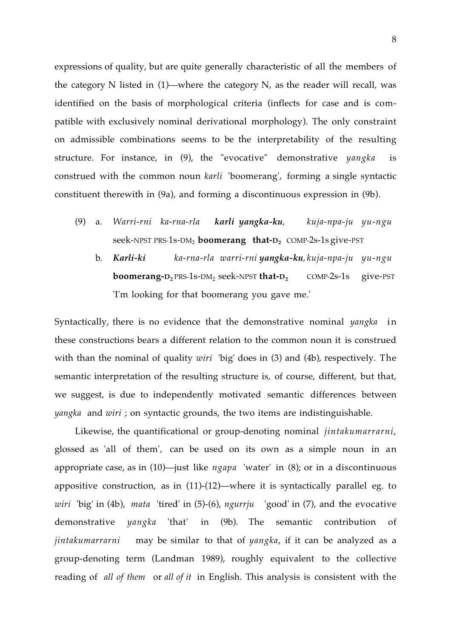expressions of quality, but are quite generally characteristic of all the members of the category N listed in  $(1)$ —where the category N, as the reader will recall, was identified on the basis of morphological criteria (inflects for case and is compatible with exclusively nominal derivational morphology). The only constraint on admissible combinations seems to be the interpretability of the resulting structure. For instance, in (9), the "evocative" demonstrative *yangka* is construed with the common noun *karli* 'boomerang', forming a single syntactic constituent therewith in (9a), and forming a discontinuous expression in (9b).

- (9) a. *Warri-rni ka-rna-rla karli yangka-ku, kuja-npa-ju yu-ngu* seek-NPST PRS-1s-DM<sub>2</sub> **boomerang that-D**<sub>2</sub> COMP-2s-1s give-PST
	- b. *Karli-ki ka-rna-rla warri-rni yangka-ku, kuja-npa-ju yu-ngu* **boomerang-D<sub>2</sub>** PRS-1s-DM<sub>2</sub> seek-NPST **that-D<sub>2</sub>** COMP-2s-1s give-PST 'I'm looking for that boomerang you gave me.'

Syntactically, there is no evidence that the demonstrative nominal *yangka* in these constructions bears a different relation to the common noun it is construed with than the nominal of quality *wiri* 'big' does in (3) and (4b), respectively. The semantic interpretation of the resulting structure is, of course, different, but that, we suggest, is due to independently motivated semantic differences between *yangka* and *wiri* ; on syntactic grounds, the two items are indistinguishable.

Likewise, the quantificational or group-denoting nominal *jintakumarrarni*, glossed as 'all of them', can be used on its own as a simple noun in an appropriate case, as in (10)—just like *ngapa* 'water' in (8); or in a discontinuous appositive construction, as in (11)-(12)—where it is syntactically parallel eg. to *wiri* 'big' in (4b), *mata* 'tired' in (5)-(6), *ngurrju* 'good' in (7), and the evocative demonstrative *yangka* 'that' in (9b). The semantic contribution of *jintakumarrarni* may be similar to that of *yangka*, if it can be analyzed as a group-denoting term (Landman 1989), roughly equivalent to the collective reading of *all of them* or *all of it* in English. This analysis is consistent with the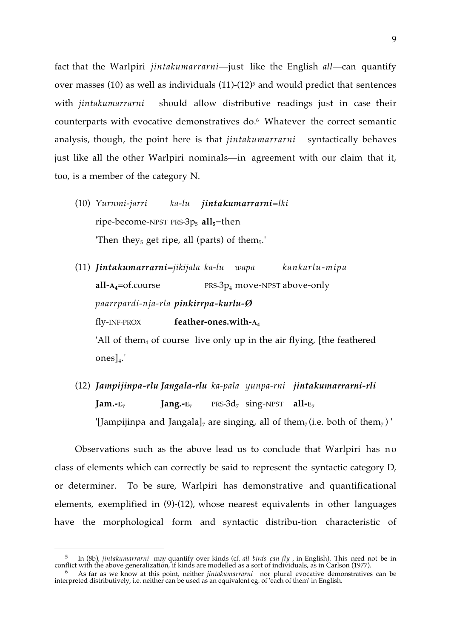fact that the Warlpiri *jintakumarrarni*—just like the English *all*—can quantify over masses (10) as well as individuals  $(11)-(12)^5$  and would predict that sentences with *jintakumarrarni* should allow distributive readings just in case their counterparts with evocative demonstratives do.6 Whatever the correct semantic analysis, though, the point here is that *jintakumarrarni* syntactically behaves just like all the other Warlpiri nominals—in agreement with our claim that it, too, is a member of the category N.

- (10) *Yurnmi-jarri ka-lu jintakumarrarni=lki* ripe-become-NPST PRS-3p<sub>5</sub> all<sub>5</sub>=then 'Then they<sub>5</sub> get ripe, all (parts) of them<sub>5</sub>.'
- (11) *Jintakumarrarni=jikijala ka-lu wapa kankarlu-mipa*  $all-A_4=of.course$  PRS- $3p_4$  move-NPST above-only *paarrpardi-nja-rla pinkirrpa-kurlu-Ø* fly-INF-PROX **feather-ones.with-A4** 'All of them<sub>4</sub> of course live only up in the air flying, [the feathered  $ones]_4$ .

(12) *Jampijinpa-rlu Jangala-rlu ka-pala yunpa-rni jintakumarrarni-rli* **Jam.-E<sub>7</sub> Jang.-E**<sub>7</sub> PRS-3d<sub>7</sub> sing-NPST **all-E**<sub>7</sub> '[Jampijinpa and Jangala]<sub>7</sub> are singing, all of them<sub>7</sub> (i.e. both of them<sub>7</sub>) '

Observations such as the above lead us to conclude that Warlpiri has no class of elements which can correctly be said to represent the syntactic category D, or determiner. To be sure, Warlpiri has demonstrative and quantificational elements, exemplified in (9)-(12), whose nearest equivalents in other languages have the morphological form and syntactic distribu-tion characteristic of

 <sup>5</sup> In (8b), *jintakumarrarni* may quantify over kinds (cf. *all birds can fly* , in English). This need not be in conflict with the above generalization, if kinds are modelled as a sort of individuals, as in Carlson (1977).

<sup>6</sup> As far as we know at this point, neither *jintakumarrarni* nor plural evocative demonstratives can be interpreted distributively, i.e. neither can be used as an equivalent eg. of 'each of them' in English.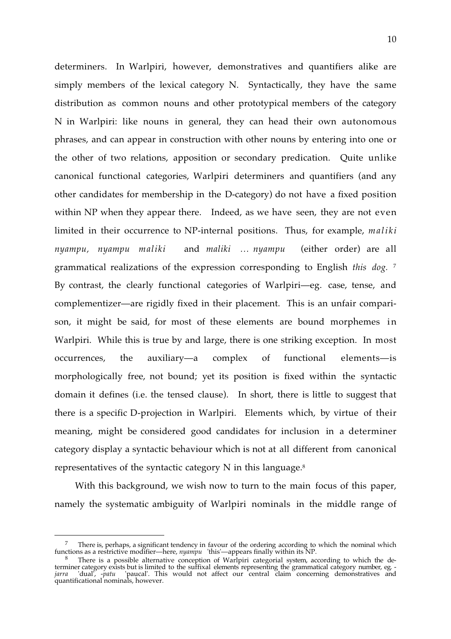determiners. In Warlpiri, however, demonstratives and quantifiers alike are simply members of the lexical category N. Syntactically, they have the same distribution as common nouns and other prototypical members of the category N in Warlpiri: like nouns in general, they can head their own autonomous phrases, and can appear in construction with other nouns by entering into one or the other of two relations, apposition or secondary predication. Quite unlike canonical functional categories, Warlpiri determiners and quantifiers (and any other candidates for membership in the D-category) do not have a fixed position within NP when they appear there. Indeed, as we have seen, they are not even limited in their occurrence to NP-internal positions. Thus, for example, *maliki nyampu, nyampu maliki* and *maliki … nyampu* (either order) are all grammatical realizations of the expression corresponding to English *this dog.* <sup>7</sup> By contrast, the clearly functional categories of Warlpiri—eg. case, tense, and complementizer—are rigidly fixed in their placement. This is an unfair comparison, it might be said, for most of these elements are bound morphemes in Warlpiri. While this is true by and large, there is one striking exception. In most occurrences, the auxiliary—a complex of functional elements—is morphologically free, not bound; yet its position is fixed within the syntactic domain it defines (i.e. the tensed clause). In short, there is little to suggest that there is a specific D-projection in Warlpiri. Elements which, by virtue of their meaning, might be considered good candidates for inclusion in a determiner category display a syntactic behaviour which is not at all different from canonical representatives of the syntactic category N in this language.8

With this background, we wish now to turn to the main focus of this paper, namely the systematic ambiguity of Warlpiri nominals in the middle range of

There is, perhaps, a significant tendency in favour of the ordering according to which the nominal which<br><sup>7</sup> There is, perhaps, a significant tendency in favour of the ordering according to which the nominal which functions as a restrictive modifier—here, *nyampu* 'this'—appears finally within its NP.

<sup>&</sup>lt;sup>8</sup> There is a possible alternative conception of Warlpiri categorial system, according to which the determiner category exists but is limited to the suffixal elements representing the grammatical category number, eg. *jarra* 'dual', *-patu* 'paucal'. This would not affect our central claim concerning demonstratives and quantificational nominals, however.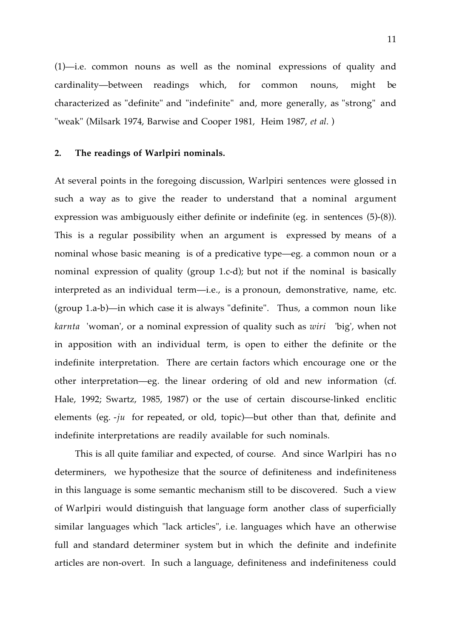(1)—i.e. common nouns as well as the nominal expressions of quality and cardinality—between readings which, for common nouns, might be characterized as "definite" and "indefinite" and, more generally, as "strong" and "weak" (Milsark 1974, Barwise and Cooper 1981, Heim 1987, *et al*. )

#### **2. The readings of Warlpiri nominals.**

At several points in the foregoing discussion, Warlpiri sentences were glossed in such a way as to give the reader to understand that a nominal argument expression was ambiguously either definite or indefinite (eg. in sentences (5)-(8)). This is a regular possibility when an argument is expressed by means of a nominal whose basic meaning is of a predicative type—eg. a common noun or a nominal expression of quality (group 1.c-d); but not if the nominal is basically interpreted as an individual term—i.e., is a pronoun, demonstrative, name, etc. (group 1.a-b)—in which case it is always "definite". Thus, a common noun like *karnta* 'woman', or a nominal expression of quality such as *wiri* 'big', when not in apposition with an individual term, is open to either the definite or the indefinite interpretation. There are certain factors which encourage one or the other interpretation—eg. the linear ordering of old and new information (cf. Hale, 1992; Swartz, 1985, 1987) or the use of certain discourse-linked enclitic elements (eg. *-ju* for repeated, or old, topic)—but other than that, definite and indefinite interpretations are readily available for such nominals.

This is all quite familiar and expected, of course. And since Warlpiri has no determiners, we hypothesize that the source of definiteness and indefiniteness in this language is some semantic mechanism still to be discovered. Such a view of Warlpiri would distinguish that language form another class of superficially similar languages which "lack articles", i.e. languages which have an otherwise full and standard determiner system but in which the definite and indefinite articles are non-overt. In such a language, definiteness and indefiniteness could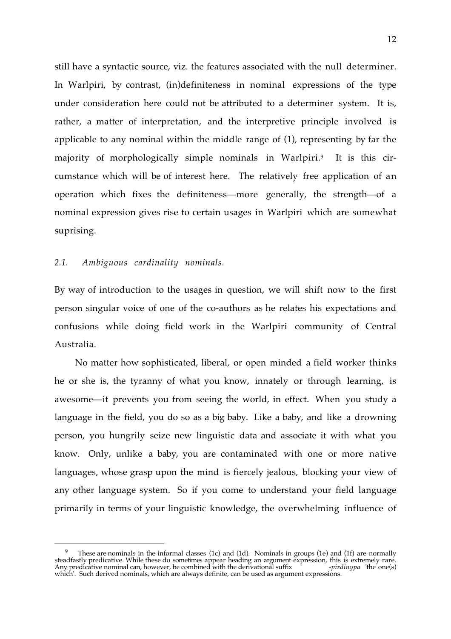still have a syntactic source, viz. the features associated with the null determiner. In Warlpiri, by contrast, (in)definiteness in nominal expressions of the type under consideration here could not be attributed to a determiner system. It is, rather, a matter of interpretation, and the interpretive principle involved is applicable to any nominal within the middle range of (1), representing by far the majority of morphologically simple nominals in Warlpiri.<sup>9</sup> It is this circumstance which will be of interest here. The relatively free application of an operation which fixes the definiteness—more generally, the strength—of a nominal expression gives rise to certain usages in Warlpiri which are somewhat suprising.

# *2.1. Ambiguous cardinality nominals.*

By way of introduction to the usages in question, we will shift now to the first person singular voice of one of the co-authors as he relates his expectations and confusions while doing field work in the Warlpiri community of Central Australia.

No matter how sophisticated, liberal, or open minded a field worker thinks he or she is, the tyranny of what you know, innately or through learning, is awesome—it prevents you from seeing the world, in effect. When you study a language in the field, you do so as a big baby. Like a baby, and like a drowning person, you hungrily seize new linguistic data and associate it with what you know. Only, unlike a baby, you are contaminated with one or more native languages, whose grasp upon the mind is fiercely jealous, blocking your view of any other language system. So if you come to understand your field language primarily in terms of your linguistic knowledge, the overwhelming influence of

These are nominals in the informal classes (1c) and (1d). Nominals in groups (1e) and (1f) are normally steadfastly predicative. While these do sometimes appear heading an argument expression, this is extremely rare. Any predicative nominal can, however, be combined with the derivational suffix *pirdinypa* 'the one(s) which'. Such derived nominals, which are always definite, can be used as argument expressions.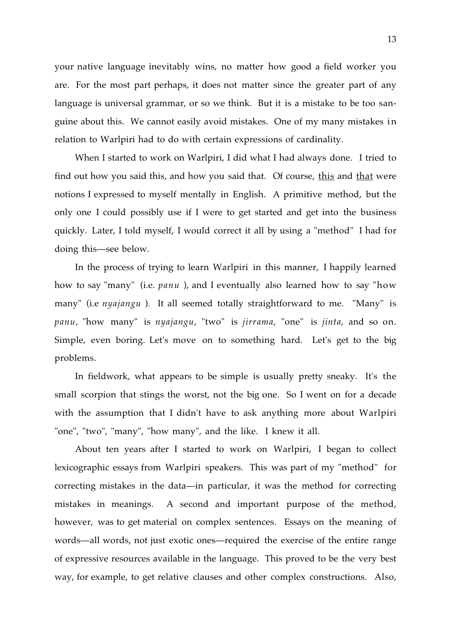your native language inevitably wins, no matter how good a field worker you are. For the most part perhaps, it does not matter since the greater part of any language is universal grammar, or so we think. But it is a mistake to be too sanguine about this. We cannot easily avoid mistakes. One of my many mistakes in relation to Warlpiri had to do with certain expressions of cardinality.

When I started to work on Warlpiri, I did what I had always done. I tried to find out how you said this, and how you said that. Of course, this and that were notions I expressed to myself mentally in English. A primitive method, but the only one I could possibly use if I were to get started and get into the business quickly. Later, I told myself, I would correct it all by using a "method" I had for doing this—see below.

In the process of trying to learn Warlpiri in this manner, I happily learned how to say "many" (i.e. *panu* ), and I eventually also learned how to say "how many" (i.e *nyajangu* ). It all seemed totally straightforward to me. "Many" is *panu*, "how many" is *nyajangu*, "two" is *jirrama*, "one" is *jinta*, and so on. Simple, even boring. Let's move on to something hard. Let's get to the big problems.

In fieldwork, what appears to be simple is usually pretty sneaky. It's the small scorpion that stings the worst, not the big one. So I went on for a decade with the assumption that I didn't have to ask anything more about Warlpiri "one", "two", "many", "how many", and the like. I knew it all.

About ten years after I started to work on Warlpiri, I began to collect lexicographic essays from Warlpiri speakers. This was part of my "method" for correcting mistakes in the data—in particular, it was the method for correcting mistakes in meanings. A second and important purpose of the method, however, was to get material on complex sentences. Essays on the meaning of words—all words, not just exotic ones—required the exercise of the entire range of expressive resources available in the language. This proved to be the very best way, for example, to get relative clauses and other complex constructions. Also,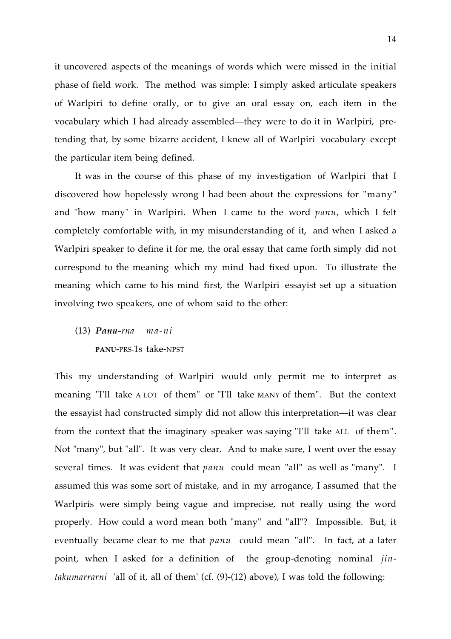it uncovered aspects of the meanings of words which were missed in the initial phase of field work. The method was simple: I simply asked articulate speakers of Warlpiri to define orally, or to give an oral essay on, each item in the vocabulary which I had already assembled—they were to do it in Warlpiri, pretending that, by some bizarre accident, I knew all of Warlpiri vocabulary except the particular item being defined.

It was in the course of this phase of my investigation of Warlpiri that I discovered how hopelessly wrong I had been about the expressions for "many" and "how many" in Warlpiri. When I came to the word *panu*, which I felt completely comfortable with, in my misunderstanding of it, and when I asked a Warlpiri speaker to define it for me, the oral essay that came forth simply did not correspond to the meaning which my mind had fixed upon. To illustrate the meaning which came to his mind first, the Warlpiri essayist set up a situation involving two speakers, one of whom said to the other:

(13) *Panu-rna ma-ni* **PANU**-PRS-1s take-NPST

This my understanding of Warlpiri would only permit me to interpret as meaning "I'll take A LOT of them" or "I'll take MANY of them". But the context the essayist had constructed simply did not allow this interpretation—it was clear from the context that the imaginary speaker was saying "I'll take ALL of them". Not "many", but "all". It was very clear. And to make sure, I went over the essay several times. It was evident that *panu* could mean "all" as well as "many". I assumed this was some sort of mistake, and in my arrogance, I assumed that the Warlpiris were simply being vague and imprecise, not really using the word properly. How could a word mean both "many" and "all"? Impossible. But, it eventually became clear to me that *panu* could mean "all". In fact, at a later point, when I asked for a definition of the group-denoting nominal *jintakumarrarni* 'all of it, all of them' (cf. (9)-(12) above), I was told the following: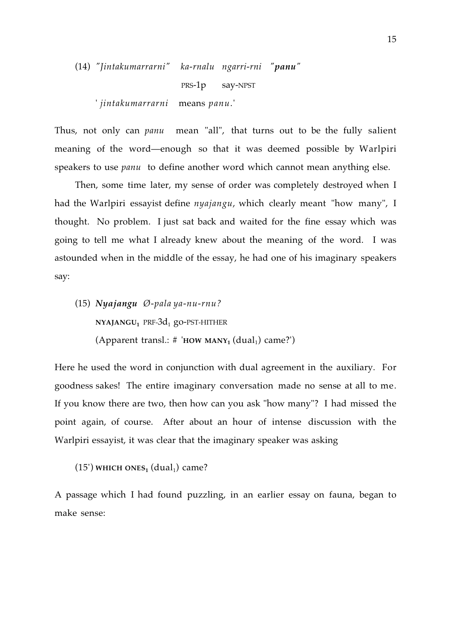(14) *"Jintakumarrarni" ka-rnalu ngarri-rni "panu"* PRS-1p say-NPST ' *jintakumarrarni* means *panu*.'

Thus, not only can *panu* mean "all", that turns out to be the fully salient meaning of the word—enough so that it was deemed possible by Warlpiri speakers to use *panu* to define another word which cannot mean anything else.

Then, some time later, my sense of order was completely destroyed when I had the Warlpiri essayist define *nyajangu*, which clearly meant "how many", I thought. No problem. I just sat back and waited for the fine essay which was going to tell me what I already knew about the meaning of the word. I was astounded when in the middle of the essay, he had one of his imaginary speakers say:

(15) *Nyajangu Ø-pala ya-nu-rnu?* NYAJANGU<sub>1</sub> PRF-3d<sub>1</sub> go-PST-HITHER (Apparent transl.: # 'HOW MANY<sub>1</sub> (dual<sub>1</sub>) came?')

Here he used the word in conjunction with dual agreement in the auxiliary. For goodness sakes! The entire imaginary conversation made no sense at all to me. If you know there are two, then how can you ask "how many"? I had missed the point again, of course. After about an hour of intense discussion with the Warlpiri essayist, it was clear that the imaginary speaker was asking

 $(15')$  WHICH ONES<sub>1</sub> (dual<sub>1</sub>) came?

A passage which I had found puzzling, in an earlier essay on fauna, began to make sense: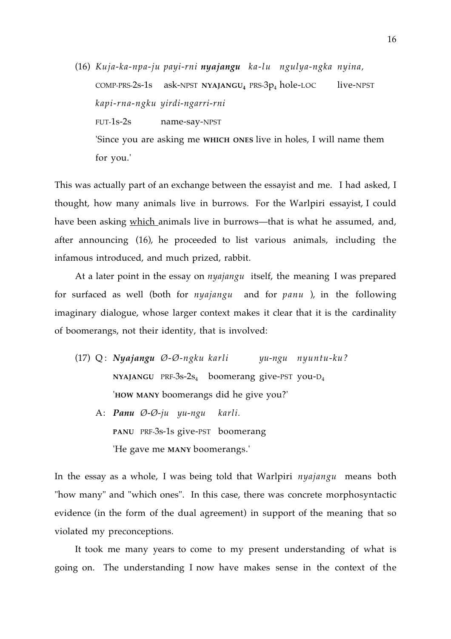(16) *Kuja-ka-npa-ju payi-rni nyajangu ka-lu ngulya-ngka nyina,* COMP-PRS-2s-1s ask-NPST **NYAJANGU4** PRS-3p4 hole-LOC live-NPST *kapi-rna-ngku yirdi-ngarri-rni* FUT-1s-2s name-say-NPST 'Since you are asking me **WHICH ONES** live in holes, I will name them for you.'

This was actually part of an exchange between the essayist and me. I had asked, I thought, how many animals live in burrows. For the Warlpiri essayist, I could have been asking which animals live in burrows—that is what he assumed, and, after announcing (16), he proceeded to list various animals, including the infamous introduced, and much prized, rabbit.

At a later point in the essay on *nyajangu* itself, the meaning I was prepared for surfaced as well (both for *nyajangu* and for *panu* ), in the following imaginary dialogue, whose larger context makes it clear that it is the cardinality of boomerangs, not their identity, that is involved:

- (17) Q : *Nyajangu Ø-Ø-ngku karli yu-ngu nyuntu-ku?* NYAJANGU PRF-3s-2s<sub>4</sub> boomerang give-PST you-D<sub>4</sub> '**HOW MANY** boomerangs did he give you?'
	- A: *Panu Ø-Ø-ju yu-ngu karli.* PANU PRF-3s-1s give-PST boomerang 'He gave me **MANY** boomerangs.'

In the essay as a whole, I was being told that Warlpiri *nyajangu* means both "how many" and "which ones". In this case, there was concrete morphosyntactic evidence (in the form of the dual agreement) in support of the meaning that so violated my preconceptions.

It took me many years to come to my present understanding of what is going on. The understanding I now have makes sense in the context of the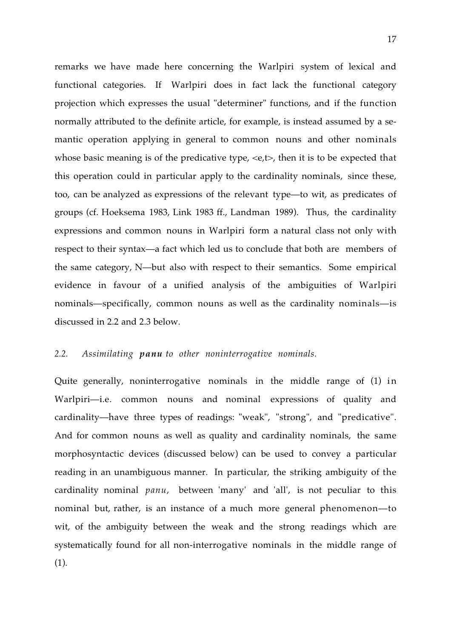remarks we have made here concerning the Warlpiri system of lexical and functional categories. If Warlpiri does in fact lack the functional category projection which expresses the usual "determiner" functions, and if the function normally attributed to the definite article, for example, is instead assumed by a semantic operation applying in general to common nouns and other nominals whose basic meaning is of the predicative type, <e,t>, then it is to be expected that this operation could in particular apply to the cardinality nominals, since these, too, can be analyzed as expressions of the relevant type—to wit, as predicates of groups (cf. Hoeksema 1983, Link 1983 ff., Landman 1989). Thus, the cardinality expressions and common nouns in Warlpiri form a natural class not only with respect to their syntax—a fact which led us to conclude that both are members of the same category, N—but also with respect to their semantics. Some empirical evidence in favour of a unified analysis of the ambiguities of Warlpiri nominals—specifically, common nouns as well as the cardinality nominals—is discussed in 2.2 and 2.3 below.

# *2.2. Assimilating panu to other noninterrogative nominals.*

Quite generally, noninterrogative nominals in the middle range of (1) in Warlpiri—i.e. common nouns and nominal expressions of quality and cardinality—have three types of readings: "weak", "strong", and "predicative". And for common nouns as well as quality and cardinality nominals, the same morphosyntactic devices (discussed below) can be used to convey a particular reading in an unambiguous manner. In particular, the striking ambiguity of the cardinality nominal *panu*, between 'many' and 'all', is not peculiar to this nominal but, rather, is an instance of a much more general phenomenon—to wit, of the ambiguity between the weak and the strong readings which are systematically found for all non-interrogative nominals in the middle range of (1).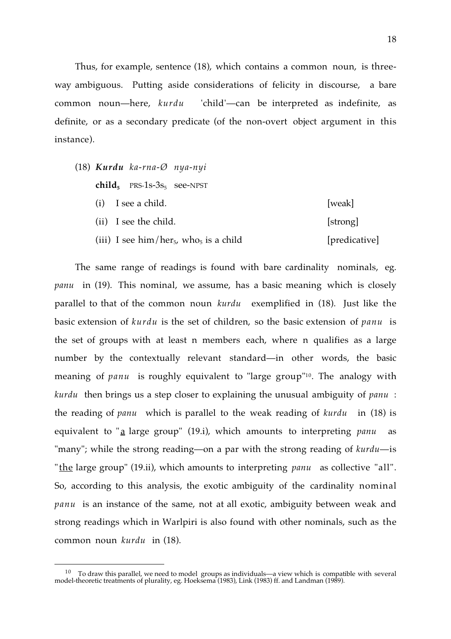Thus, for example, sentence (18), which contains a common noun, is threeway ambiguous. Putting aside considerations of felicity in discourse, a bare common noun—here, *kurdu* 'child'—can be interpreted as indefinite, as definite, or as a secondary predicate (of the non-overt object argument in this instance).

| (18) Kurdu ka-rna-Ø nya-nyi                                    |               |
|----------------------------------------------------------------|---------------|
| child <sub>5</sub> PRS-1s-3s <sub>5</sub> see-NPST             |               |
| $(i)$ I see a child.                                           | [weak]        |
| (ii) I see the child.                                          | [strong]      |
| (iii) I see him/her <sub>5</sub> , who <sub>5</sub> is a child | [predicative] |

The same range of readings is found with bare cardinality nominals, eg. *panu* in (19). This nominal, we assume, has a basic meaning which is closely parallel to that of the common noun *kurdu* exemplified in (18). Just like the basic extension of *kurdu* is the set of children, so the basic extension of *panu* is the set of groups with at least n members each, where n qualifies as a large number by the contextually relevant standard—in other words, the basic meaning of *panu* is roughly equivalent to "large group"<sup>10</sup>. The analogy with *kurdu* then brings us a step closer to explaining the unusual ambiguity of *panu* : the reading of *panu* which is parallel to the weak reading of *kurdu* in (18) is equivalent to "a large group" (19.*i*), which amounts to interpreting *panu* as "many"; while the strong reading—on a par with the strong reading of *kurdu*—is "the large group" (19.ii), which amounts to interpreting *panu* as collective "all". So, according to this analysis, the exotic ambiguity of the cardinality nominal *panu* is an instance of the same, not at all exotic, ambiguity between weak and strong readings which in Warlpiri is also found with other nominals, such as the common noun *kurdu* in (18).

<sup>10</sup> To draw this parallel, we need to model groups as individuals—a view which is compatible with several model-theoretic treatments of plurality, eg. Hoeksema (1983), Link (1983) ff. and Landman (1989).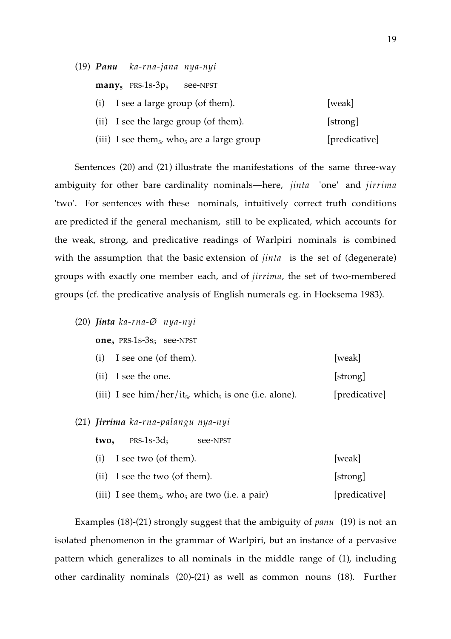| (19) <b>Panu</b> ka-rna-jana nya-nyi |                                      |                                                                    |               |
|--------------------------------------|--------------------------------------|--------------------------------------------------------------------|---------------|
|                                      | $\text{many}_5$ PRS-1s-3 $p_5$       | see-NPST                                                           |               |
|                                      | $(i)$ I see a large group (of them). |                                                                    | [weak]        |
|                                      |                                      | (ii) I see the large group (of them).                              | [strong]      |
|                                      |                                      | (iii) I see them <sub>5</sub> , who <sub>5</sub> are a large group | [predicative] |

Sentences (20) and (21) illustrate the manifestations of the same three-way ambiguity for other bare cardinality nominals—here, *jinta* 'one' and *jirrima* 'two'. For sentences with these nominals, intuitively correct truth conditions are predicted if the general mechanism, still to be explicated, which accounts for the weak, strong, and predicative readings of Warlpiri nominals is combined with the assumption that the basic extension of *jinta* is the set of (degenerate) groups with exactly one member each, and of *jirrima*, the set of two-membered groups (cf. the predicative analysis of English numerals eg. in Hoeksema 1983).

|  | $(20)$ Jinta ka-rna- $\varnothing$ nya-nyi                                    |               |
|--|-------------------------------------------------------------------------------|---------------|
|  | one <sub>5</sub> PRS-1s-3s <sub>5</sub> see-NPST                              |               |
|  | $(i)$ I see one (of them).                                                    | [weak]        |
|  | (ii) I see the one.                                                           | [strong]      |
|  | (iii) I see him/her/it <sub>5</sub> , which <sub>5</sub> is one (i.e. alone). | [predicative] |
|  |                                                                               |               |

# (21) *Jirrima ka-rna-palangu nya-nyi*  $two_5$  PRS-1s-3d<sub>5</sub> see-NPST (i) I see two (of them). [weak] (ii) I see the two (of them). [strong] (iii) I see them $_{5}$ , who<sub>5</sub> are two (i.e. a pair) [predicative]

Examples (18)-(21) strongly suggest that the ambiguity of *panu* (19) is not an isolated phenomenon in the grammar of Warlpiri, but an instance of a pervasive pattern which generalizes to all nominals in the middle range of (1), including other cardinality nominals (20)-(21) as well as common nouns (18). Further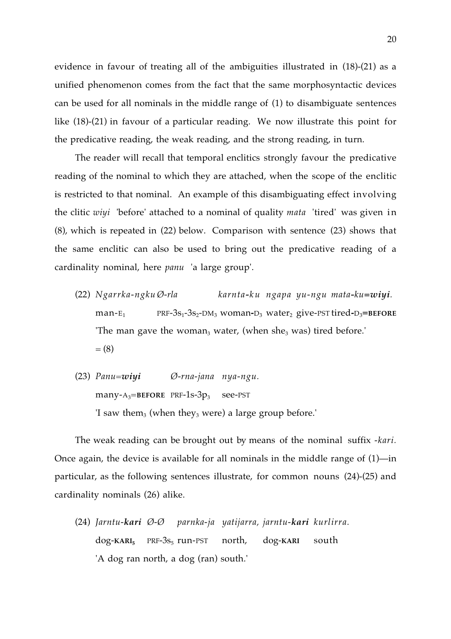evidence in favour of treating all of the ambiguities illustrated in (18)-(21) as a unified phenomenon comes from the fact that the same morphosyntactic devices can be used for all nominals in the middle range of (1) to disambiguate sentences like (18)-(21) in favour of a particular reading. We now illustrate this point for the predicative reading, the weak reading, and the strong reading, in turn.

The reader will recall that temporal enclitics strongly favour the predicative reading of the nominal to which they are attached, when the scope of the enclitic is restricted to that nominal. An example of this disambiguating effect involving the clitic *wiyi* 'before' attached to a nominal of quality *mata* 'tired' was given in (8), which is repeated in (22) below. Comparison with sentence (23) shows that the same enclitic can also be used to bring out the predicative reading of a cardinality nominal, here *panu* 'a large group'.

- (22) *Ngarrka-ngku Ø-rla karnta-ku ngapa yu-ngu mata-ku=wiyi.* man-E<sub>1</sub> PRF-3s<sub>1</sub>-3s<sub>2</sub>-DM<sub>3</sub> woman-D<sub>3</sub> water<sub>2</sub> give-PST tired-D<sub>3</sub>=BEFORE 'The man gave the woman<sub>3</sub> water, (when she<sub>3</sub> was) tired before.'  $= (8)$
- (23) *Panu=wiyi Ø-rna-jana nya-ngu.* many-A<sub>3</sub>=**BEFORE** PRF-1s-3p<sub>3</sub> see-PST 'I saw them<sub>3</sub> (when they<sub>3</sub> were) a large group before.'

The weak reading can be brought out by means of the nominal suffix *-kari.* Once again, the device is available for all nominals in the middle range of (1)—in particular, as the following sentences illustrate, for common nouns (24)-(25) and cardinality nominals (26) alike.

(24) *Jarntu-kari Ø-Ø parnka-ja yatijarra, jarntu-kari kurlirra.* dog-**KARI5** PRF-3s5 run-PST north, dog-**KARI** south 'A dog ran north, a dog (ran) south.'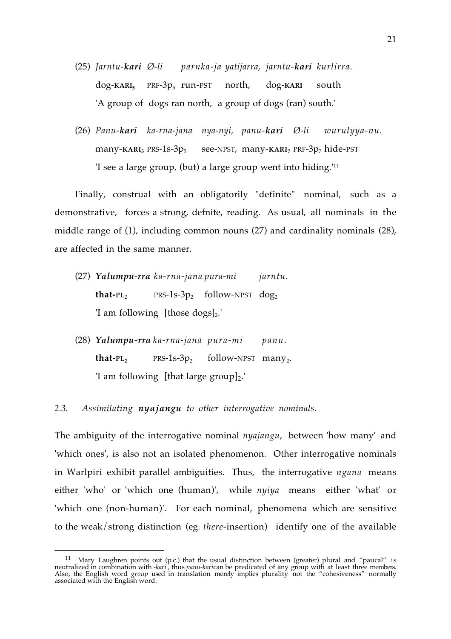- (25) *Jarntu-kari Ø-li parnka-ja yatijarra, jarntu-kari kurlirra.* dog-**KARI5** PRF-3p5 run-PST north, dog-**KARI** south 'A group of dogs ran north, a group of dogs (ran) south.'
- (26) *Panu-kari ka-rna-jana nya-nyi, panu-kari Ø-li wurulyya-nu.* many-KARI<sub>5</sub> PRS-1s-3p<sub>5</sub> see-NPST, many-KARI<sub>7</sub> PRF-3p<sub>7</sub> hide-PST 'I see a large group, (but) a large group went into hiding.'11

Finally, construal with an obligatorily "definite" nominal, such as a demonstrative, forces a strong, defnite, reading. As usual, all nominals in the middle range of (1), including common nouns (27) and cardinality nominals (28), are affected in the same manner.

- (27) *Yalumpu-rra ka-rna-jana pura-mi jarntu.*  $that$ - $PL<sub>2</sub>$  PRS-1s- $3p<sub>2</sub>$  follow-NPST dog<sub>2</sub> 'I am following [those dogs] $_2$ .'
- (28) *Yalumpu-rra ka-rna-jana pura-mi panu.*  $that$ - $PL<sub>2</sub>$  PRS-1s- $3p<sub>2</sub>$  follow-NPST many<sub>2</sub>. 'I am following [that large group] $_2$ .'

*2.3. Assimilating nyajangu to other interrogative nominals.*

The ambiguity of the interrogative nominal *nyajangu*, between 'how many' and 'which ones', is also not an isolated phenomenon. Other interrogative nominals in Warlpiri exhibit parallel ambiguities. Thus, the interrogative *ngana* means either 'who' or 'which one (human)', while *nyiya* means either 'what' or 'which one (non-human)'. For each nominal, phenomena which are sensitive to the weak/strong distinction (eg. *there*-insertion) identify one of the available

<sup>11</sup> Mary Laughren points out (p.c.) that the usual distinction between (greater) plural and "paucal" is neutralized in combination with -*kari* , thus *panu-kari*can be predicated of any group with at least three members. Also, the English word *group* used in translation merely implies plurality not the "cohesiveness" normally associated with the English word.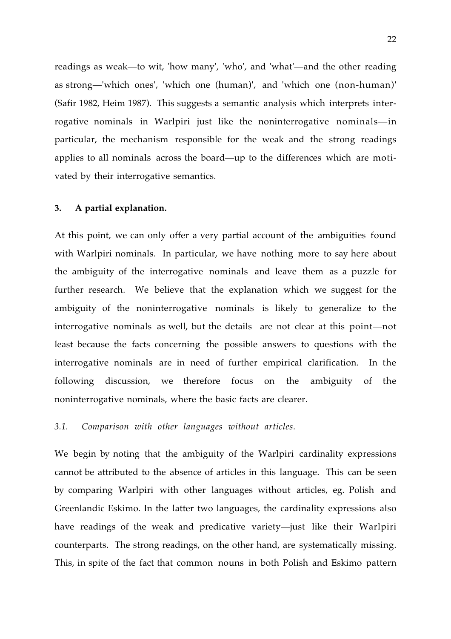readings as weak—to wit, 'how many', 'who', and 'what'—and the other reading as strong—'which ones', 'which one (human)', and 'which one (non-human)' (Safir 1982, Heim 1987). This suggests a semantic analysis which interprets interrogative nominals in Warlpiri just like the noninterrogative nominals—in particular, the mechanism responsible for the weak and the strong readings applies to all nominals across the board—up to the differences which are motivated by their interrogative semantics.

# **3. A partial explanation.**

At this point, we can only offer a very partial account of the ambiguities found with Warlpiri nominals. In particular, we have nothing more to say here about the ambiguity of the interrogative nominals and leave them as a puzzle for further research. We believe that the explanation which we suggest for the ambiguity of the noninterrogative nominals is likely to generalize to the interrogative nominals as well, but the details are not clear at this point—not least because the facts concerning the possible answers to questions with the interrogative nominals are in need of further empirical clarification. In the following discussion, we therefore focus on the ambiguity of the noninterrogative nominals, where the basic facts are clearer.

#### *3.1. Comparison with other languages without articles.*

We begin by noting that the ambiguity of the Warlpiri cardinality expressions cannot be attributed to the absence of articles in this language. This can be seen by comparing Warlpiri with other languages without articles, eg. Polish and Greenlandic Eskimo. In the latter two languages, the cardinality expressions also have readings of the weak and predicative variety—just like their Warlpiri counterparts. The strong readings, on the other hand, are systematically missing. This, in spite of the fact that common nouns in both Polish and Eskimo pattern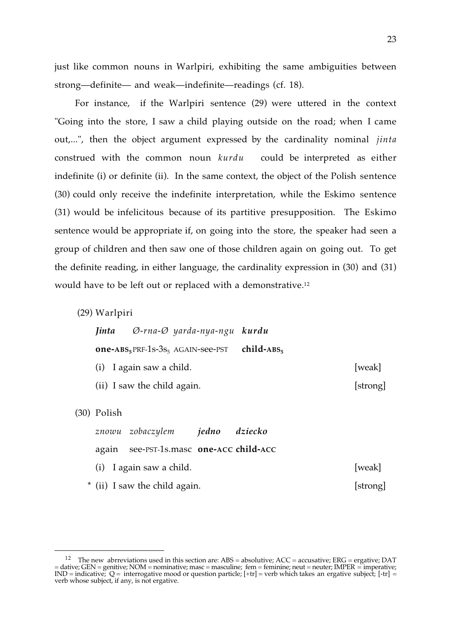just like common nouns in Warlpiri, exhibiting the same ambiguities between strong—definite— and weak—indefinite—readings (cf. 18).

For instance, if the Warlpiri sentence (29) were uttered in the context "Going into the store, I saw a child playing outside on the road; when I came out,...", then the object argument expressed by the cardinality nominal *jinta* construed with the common noun *kurdu* could be interpreted as either indefinite (i) or definite (ii). In the same context, the object of the Polish sentence (30) could only receive the indefinite interpretation, while the Eskimo sentence (31) would be infelicitous because of its partitive presupposition. The Eskimo sentence would be appropriate if, on going into the store, the speaker had seen a group of children and then saw one of those children again on going out. To get the definite reading, in either language, the cardinality expression in (30) and (31) would have to be left out or replaced with a demonstrative.12

(29) Warlpiri

| Jinta                                                                          | Ø-rna-Øyarda-nya-ngu kurdu  |          |
|--------------------------------------------------------------------------------|-----------------------------|----------|
| one- $\text{ABS}_5$ PRF-1s-3s <sub>5</sub> AGAIN-see-PST child- $\text{ABS}_5$ |                             |          |
| (i) I again saw a child.                                                       |                             | [weak]   |
|                                                                                | (ii) I saw the child again. | [strong] |

(30) Polish

| znowu zobaczylem <b>jedno dziecko</b>   |  |          |
|-----------------------------------------|--|----------|
| again see-PST-1s.masc one-ACC child-ACC |  |          |
| (i) I again saw a child.                |  | [weak]   |
| * (ii) I saw the child again.           |  | [strong] |

<sup>&</sup>lt;sup>12</sup> The new abrreviations used in this section are: ABS = absolutive; ACC = accusative; ERG = ergative; DAT = dative; GEN = genitive; NOM = nominative; masc = masculine; fem = feminine; neut = neuter; IMPER = imperative;  $\rm{IND}$  = indicative;  $\rm{Q}$  = interrogative mood or question particle; [+tr] = verb which takes an ergative subject; [-tr] = verb whose subject, if any, is not ergative.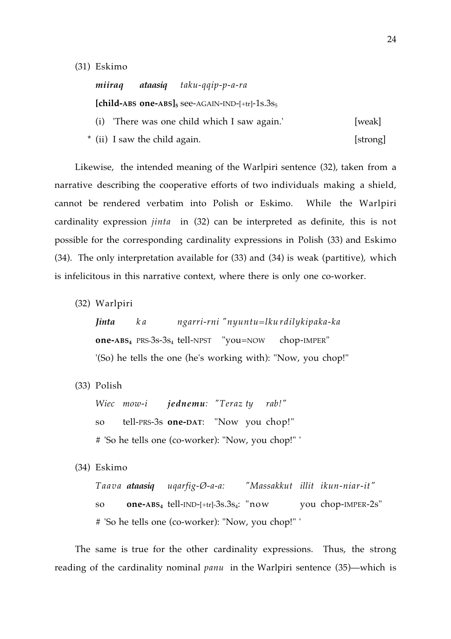#### (31) Eskimo

| miiraq |                                                 | <b>ataasiq</b> taku-qqip-p-a-ra             |          |  |  |  |
|--------|-------------------------------------------------|---------------------------------------------|----------|--|--|--|
|        | [child-ABS one-ABS], see-AGAIN-IND-[+tr]-1s.3s, |                                             |          |  |  |  |
|        |                                                 | (i) There was one child which I saw again.' | [weak]   |  |  |  |
|        | * (ii) I saw the child again.                   |                                             | [strong] |  |  |  |

Likewise, the intended meaning of the Warlpiri sentence (32), taken from a narrative describing the cooperative efforts of two individuals making a shield, cannot be rendered verbatim into Polish or Eskimo. While the Warlpiri cardinality expression *jinta* in (32) can be interpreted as definite, this is not possible for the corresponding cardinality expressions in Polish (33) and Eskimo (34). The only interpretation available for (33) and (34) is weak (partitive), which is infelicitous in this narrative context, where there is only one co-worker.

(32) Warlpiri

*Jinta k a ngarri-rni "nyuntu=lkurdilykipaka-ka* **one-ABS<sub>4</sub>** PRS-3s-3s<sub>4</sub> tell-NPST "you=NOW chop-IMPER" '(So) he tells the one (he's working with): "Now, you chop!"

(33) Polish

*Wiec mow-i jednemu: "Teraz ty rab!"* so tell-PRS-3s **one-DAT**: "Now you chop!" # 'So he tells one (co-worker): "Now, you chop!" '

(34) Eskimo

*Taava ataasiq uqarfig-Ø-a-a: "Massakkut illit ikun-niar-it"* so **one-ABS<sub>4</sub>** tell-IND-[+tr]-3s.3s<sub>4</sub>: "now you chop-IMPER-2s" # 'So he tells one (co-worker): "Now, you chop!" '

The same is true for the other cardinality expressions. Thus, the strong reading of the cardinality nominal *panu* in the Warlpiri sentence (35)—which is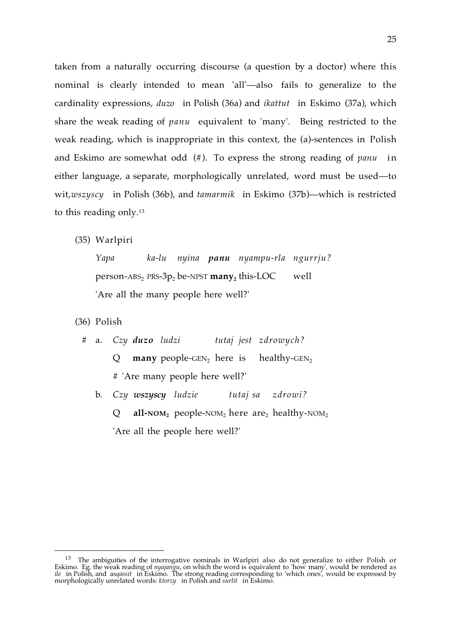taken from a naturally occurring discourse (a question by a doctor) where this nominal is clearly intended to mean 'all'—also fails to generalize to the cardinality expressions, *duzo* in Polish (36a) and *ikattut* in Eskimo (37a), which share the weak reading of *panu* equivalent to 'many'. Being restricted to the weak reading, which is inappropriate in this context, the (a)-sentences in Polish and Eskimo are somewhat odd (#). To express the strong reading of *panu* in either language, a separate, morphologically unrelated, word must be used—to wit,*wszyscy* in Polish (36b), and *tamarmik* in Eskimo (37b)—which is restricted to this reading only.13

(35) Warlpiri

*Yapa ka-lu nyina panu nyampu-rla ngurrju?* person-ABS<sub>2</sub> PRS-3p<sub>2</sub> be-NPST  $\text{many}_2$  this-LOC well 'Are all the many people here well?'

- (36) Polish
	- # a. *Czy duzo ludzi tutaj jest zdrowych?*  $Q$  **many** people-GEN<sub>2</sub> here is healthy-GEN<sub>2</sub> # 'Are many people here well?'
		- b. *Czy wszyscy ludzie tutaj sa zdrowi?* Q all-NOM<sub>2</sub> people-NOM<sub>2</sub> here are<sub>2</sub> healthy-NOM<sub>2</sub> 'Are all the people here well?'

<sup>&</sup>lt;sup>13</sup> The ambiguities of the interrogative nominals in Warlpiri also do not generalize to either Polish or Eskimo. Eg. the weak reading of *nyajangu*, on which the word is equivalent to 'how many', would be rendered as *ile* in Polish, and as*qassit* in Eskimo. The strong reading corresponding to 'which ones', would be expressed by morphologically unrelated words: *ktorzy* in Polish and *surlit* in Eskimo.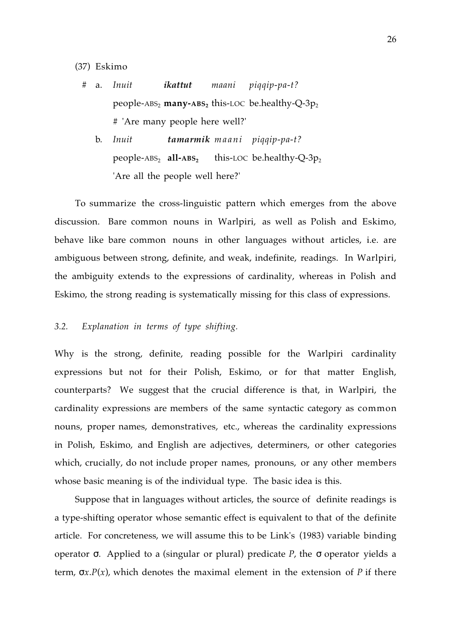(37) Eskimo

- # a. *Inuit ikattut maani piqqip-pa-t?* people-ABS<sub>2</sub> **many-ABS**<sub>2</sub> this-LOC be.healthy- $Q$ -3p<sub>2</sub> # 'Are many people here well?'
	- b. *Inuit tamarmik maani piqqip-pa-t?* people-ABS<sub>2</sub> all-ABS<sub>2</sub> this-LOC be.healthy-Q-3p<sub>2</sub> 'Are all the people well here?'

To summarize the cross-linguistic pattern which emerges from the above discussion. Bare common nouns in Warlpiri, as well as Polish and Eskimo, behave like bare common nouns in other languages without articles, i.e. are ambiguous between strong, definite, and weak, indefinite, readings. In Warlpiri, the ambiguity extends to the expressions of cardinality, whereas in Polish and Eskimo, the strong reading is systematically missing for this class of expressions.

## *3.2. Explanation in terms of type shifting.*

Why is the strong, definite, reading possible for the Warlpiri cardinality expressions but not for their Polish, Eskimo, or for that matter English, counterparts? We suggest that the crucial difference is that, in Warlpiri, the cardinality expressions are members of the same syntactic category as common nouns, proper names, demonstratives, etc., whereas the cardinality expressions in Polish, Eskimo, and English are adjectives, determiners, or other categories which, crucially, do not include proper names, pronouns, or any other members whose basic meaning is of the individual type. The basic idea is this.

Suppose that in languages without articles, the source of definite readings is a type-shifting operator whose semantic effect is equivalent to that of the definite article. For concreteness, we will assume this to be Link's (1983) variable binding operator σ. Applied to a (singular or plural) predicate *P*, the σ operator yields a term, σ*x*.*P*(*x*), which denotes the maximal element in the extension of *P* if there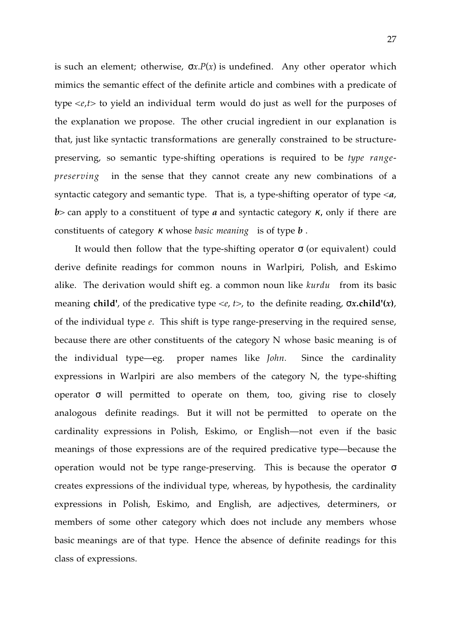is such an element; otherwise,  $σx.P(x)$  is undefined. Any other operator which mimics the semantic effect of the definite article and combines with a predicate of type <*e*,*t*> to yield an individual term would do just as well for the purposes of the explanation we propose. The other crucial ingredient in our explanation is that, just like syntactic transformations are generally constrained to be structurepreserving, so semantic type-shifting operations is required to be *type rangepreserving* in the sense that they cannot create any new combinations of a syntactic category and semantic type. That is, a type-shifting operator of type <*a*, *b*> can apply to a constituent of type *a* and syntactic category κ, only if there are constituents of category κ whose *basic meaning* is of type *b* .

It would then follow that the type-shifting operator  $\sigma$  (or equivalent) could derive definite readings for common nouns in Warlpiri, Polish, and Eskimo alike. The derivation would shift eg. a common noun like *kurdu* from its basic meaning **child'**, of the predicative type  $\langle e, t \rangle$ , to the definite reading,  $\sigma x$ **.child'** $(x)$ , of the individual type *e*. This shift is type range-preserving in the required sense, because there are other constituents of the category N whose basic meaning is of the individual type—eg. proper names like *John.* Since the cardinality expressions in Warlpiri are also members of the category N, the type-shifting operator σ will permitted to operate on them, too, giving rise to closely analogous definite readings. But it will not be permitted to operate on the cardinality expressions in Polish, Eskimo, or English—not even if the basic meanings of those expressions are of the required predicative type—because the operation would not be type range-preserving. This is because the operator  $σ$ creates expressions of the individual type, whereas, by hypothesis, the cardinality expressions in Polish, Eskimo, and English, are adjectives, determiners, or members of some other category which does not include any members whose basic meanings are of that type. Hence the absence of definite readings for this class of expressions.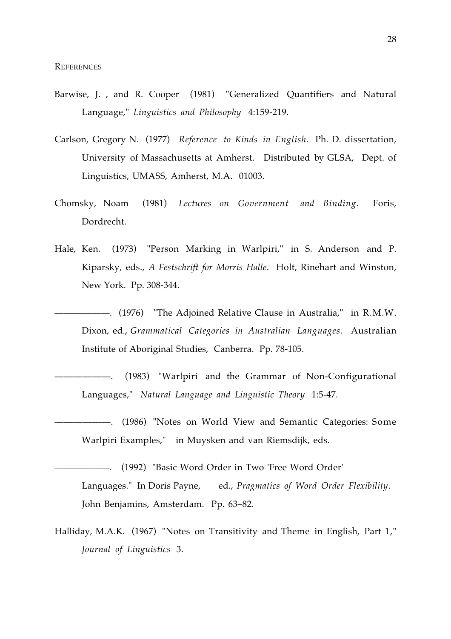- Barwise, J. , and R. Cooper (1981) "Generalized Quantifiers and Natural Language," *Linguistics and Philosophy* 4:159-219.
- Carlson, Gregory N. (1977) *Reference to Kinds in English*. Ph. D. dissertation, University of Massachusetts at Amherst. Distributed by GLSA, Dept. of Linguistics, UMASS, Amherst, M.A. 01003.
- Chomsky, Noam (1981) *Lectures on Government and Binding*. Foris, Dordrecht.
- Hale, Ken. (1973) "Person Marking in Warlpiri," in S. Anderson and P. Kiparsky, eds., *A Festschrift for Morris Halle*. Holt, Rinehart and Winston, New York. Pp. 308-344.
	- ——————. (1976) "The Adjoined Relative Clause in Australia," in R.M.W. Dixon, ed., *Grammatical Categories in Australian Languages.* Australian Institute of Aboriginal Studies, Canberra. Pp. 78-105.
	- (1983) "Warlpiri and the Grammar of Non-Configurational Languages," *Natural Language and Linguistic Theory* 1:5-47.
- ——————. (1986) "Notes on World View and Semantic Categories: Some Warlpiri Examples," in Muysken and van Riemsdijk, eds.
- ——————. (1992) "Basic Word Order in Two 'Free Word Order' Languages." In Doris Payne, ed., *Pragmatics of Word Order Flexibility*. John Benjamins, Amsterdam. Pp. 63–82.
- Halliday, M.A.K. (1967) "Notes on Transitivity and Theme in English, Part 1," *Journal of Linguistics* 3.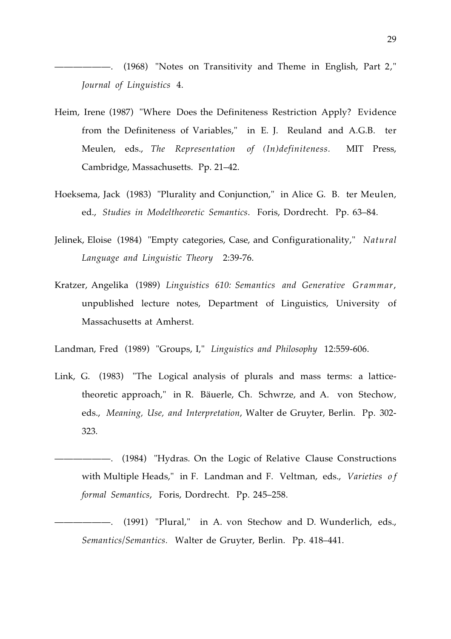$(1968)$  "Notes on Transitivity and Theme in English, Part 2," *Journal of Linguistics* 4.

- Heim, Irene (1987) "Where Does the Definiteness Restriction Apply? Evidence from the Definiteness of Variables," in E. J. Reuland and A.G.B. ter Meulen, eds., *The Representation of (In)definiteness.* MIT Press, Cambridge, Massachusetts. Pp. 21–42.
- Hoeksema, Jack (1983) "Plurality and Conjunction," in Alice G. B. ter Meulen, ed., *Studies in Modeltheoretic Semantics*. Foris, Dordrecht. Pp. 63–84.
- Jelinek, Eloise (1984) "Empty categories, Case, and Configurationality," *Natural Language and Linguistic Theory* 2:39-76.
- Kratzer, Angelika (1989) *Linguistics 610: Semantics and Generative Grammar*, unpublished lecture notes, Department of Linguistics, University of Massachusetts at Amherst.

Landman, Fred (1989) "Groups, I," *Linguistics and Philosophy* 12:559-606.

- Link, G. (1983) "The Logical analysis of plurals and mass terms: a latticetheoretic approach," in R. Bäuerle, Ch. Schwrze, and A. von Stechow, eds., *Meaning, Use, and Interpretation*, Walter de Gruyter, Berlin. Pp. 302- 323.
- -. (1984) "Hydras. On the Logic of Relative Clause Constructions with Multiple Heads," in F. Landman and F. Veltman, eds., *Varieties o f formal Semantics*, Foris, Dordrecht. Pp. 245–258.
	- (1991) "Plural," in A. von Stechow and D. Wunderlich, eds., *Semantics/Semantics.* Walter de Gruyter, Berlin. Pp. 418–441.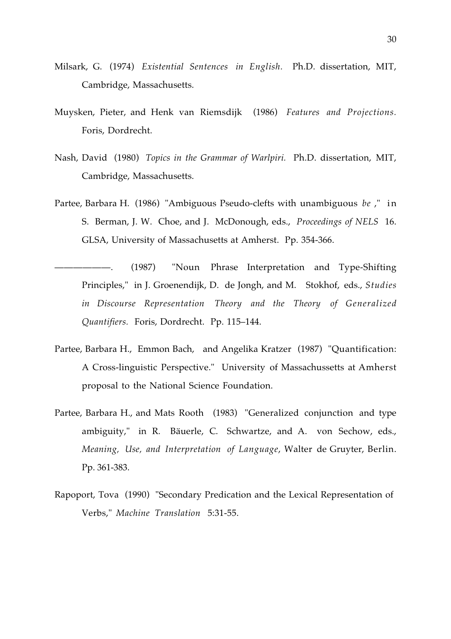- Milsark, G. (1974) *Existential Sentences in English.* Ph.D. dissertation, MIT, Cambridge, Massachusetts.
- Muysken, Pieter, and Henk van Riemsdijk (1986) *Features and Projections.* Foris, Dordrecht.
- Nash, David (1980) *Topics in the Grammar of Warlpiri.* Ph.D. dissertation, MIT, Cambridge, Massachusetts.
- Partee, Barbara H. (1986) "Ambiguous Pseudo-clefts with unambiguous *be* ," in S. Berman, J. W. Choe, and J. McDonough, eds., *Proceedings of NELS* 16. GLSA, University of Massachusetts at Amherst. Pp. 354-366.
- (1987) "Noun Phrase Interpretation and Type-Shifting Principles," in J. Groenendijk, D. de Jongh, and M. Stokhof, eds., *Studies in Discourse Representation Theory and the Theory of Generalized Quantifiers.* Foris, Dordrecht. Pp. 115–144.
- Partee, Barbara H., Emmon Bach, and Angelika Kratzer (1987) "Quantification: A Cross-linguistic Perspective." University of Massachussetts at Amherst proposal to the National Science Foundation.
- Partee, Barbara H., and Mats Rooth (1983) "Generalized conjunction and type ambiguity," in R. Bäuerle, C. Schwartze, and A. von Sechow, eds., *Meaning, Use, and Interpretation of Language*, Walter de Gruyter, Berlin. Pp. 361-383.
- Rapoport, Tova (1990) "Secondary Predication and the Lexical Representation of Verbs," *Machine Translation* 5:31-55.